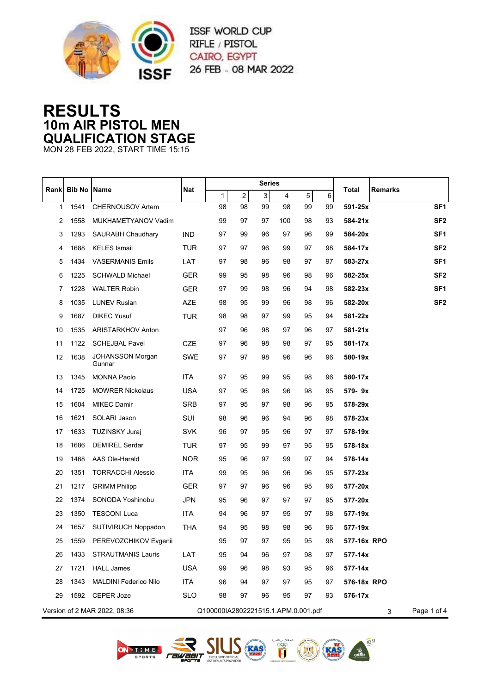

ISSF WORLD CUP RIFLE / PISTOL CAIRO, EGYPT 26 FEB - 08 MAR 2022

## **RESULTS 10m AIR PISTOL MEN QUALIFICATION STAGE**

MON 28 FEB 2022, START TIME 15:15

|              |      | <b>Bib No Name</b>                |            | <b>Series</b>                       |                |    |     |    |         |                         |                 |
|--------------|------|-----------------------------------|------------|-------------------------------------|----------------|----|-----|----|---------|-------------------------|-----------------|
| Rank         |      |                                   | Nat        | 1                                   | $\overline{a}$ | 3  | 4   | 5  | $\,6\,$ | <b>Remarks</b><br>Total |                 |
| $\mathbf{1}$ | 1541 | CHERNOUSOV Artem                  |            | 98                                  | 98             | 99 | 98  | 99 | 99      | 591-25x                 | SF <sub>1</sub> |
| 2            | 1558 | MUKHAMETYANOV Vadim               |            | 99                                  | 97             | 97 | 100 | 98 | 93      | 584-21x                 | SF <sub>2</sub> |
| 3            | 1293 | <b>SAURABH Chaudhary</b>          | <b>IND</b> | 97                                  | 99             | 96 | 97  | 96 | 99      | 584-20x                 | SF <sub>1</sub> |
| 4            | 1688 | <b>KELES</b> Ismail               | TUR        | 97                                  | 97             | 96 | 99  | 97 | 98      | 584-17x                 | SF <sub>2</sub> |
| 5            | 1434 | <b>VASERMANIS Emils</b>           | LAT        | 97                                  | 98             | 96 | 98  | 97 | 97      | 583-27x                 | SF <sub>1</sub> |
| 6            | 1225 | <b>SCHWALD Michael</b>            | <b>GER</b> | 99                                  | 95             | 98 | 96  | 98 | 96      | 582-25x                 | SF <sub>2</sub> |
| 7            | 1228 | <b>WALTER Robin</b>               | <b>GER</b> | 97                                  | 99             | 98 | 96  | 94 | 98      | 582-23x                 | SF <sub>1</sub> |
| 8            | 1035 | <b>LUNEV Ruslan</b>               | AZE        | 98                                  | 95             | 99 | 96  | 98 | 96      | 582-20x                 | SF <sub>2</sub> |
| 9            | 1687 | <b>DIKEC Yusuf</b>                | <b>TUR</b> | 98                                  | 98             | 97 | 99  | 95 | 94      | 581-22x                 |                 |
| 10           | 1535 | <b>ARISTARKHOV Anton</b>          |            | 97                                  | 96             | 98 | 97  | 96 | 97      | 581-21x                 |                 |
| 11           | 1122 | <b>SCHEJBAL Pavel</b>             | <b>CZE</b> | 97                                  | 96             | 98 | 98  | 97 | 95      | 581-17x                 |                 |
| 12           | 1638 | <b>JOHANSSON Morgan</b><br>Gunnar | SWE        | 97                                  | 97             | 98 | 96  | 96 | 96      | 580-19x                 |                 |
| 13           | 1345 | <b>MONNA Paolo</b>                | <b>ITA</b> | 97                                  | 95             | 99 | 95  | 98 | 96      | 580-17x                 |                 |
| 14           | 1725 | <b>MOWRER Nickolaus</b>           | USA        | 97                                  | 95             | 98 | 96  | 98 | 95      | 579-9x                  |                 |
| 15           | 1604 | <b>MIKEC Damir</b>                | <b>SRB</b> | 97                                  | 95             | 97 | 98  | 96 | 95      | 578-29x                 |                 |
| 16           | 1621 | SOLARI Jason                      | SUI        | 98                                  | 96             | 96 | 94  | 96 | 98      | 578-23x                 |                 |
| 17           | 1633 | <b>TUZINSKY Juraj</b>             | <b>SVK</b> | 96                                  | 97             | 95 | 96  | 97 | 97      | 578-19x                 |                 |
| 18           | 1686 | <b>DEMIREL Serdar</b>             | TUR        | 97                                  | 95             | 99 | 97  | 95 | 95      | 578-18x                 |                 |
| 19           | 1468 | AAS Ole-Harald                    | <b>NOR</b> | 95                                  | 96             | 97 | 99  | 97 | 94      | 578-14x                 |                 |
| 20           | 1351 | <b>TORRACCHI Alessio</b>          | <b>ITA</b> | 99                                  | 95             | 96 | 96  | 96 | 95      | 577-23x                 |                 |
| 21           | 1217 | <b>GRIMM Philipp</b>              | <b>GER</b> | 97                                  | 97             | 96 | 96  | 95 | 96      | 577-20x                 |                 |
| 22           | 1374 | SONODA Yoshinobu                  | <b>JPN</b> | 95                                  | 96             | 97 | 97  | 97 | 95      | 577-20x                 |                 |
| 23           | 1350 | <b>TESCONI Luca</b>               | <b>ITA</b> | 94                                  | 96             | 97 | 95  | 97 | 98      | 577-19x                 |                 |
| 24           | 1657 | <b>SUTIVIRUCH Noppadon</b>        | THA        | 94                                  | 95             | 98 | 98  | 96 | 96      | 577-19x                 |                 |
| 25           | 1559 | PEREVOZCHIKOV Evgenii             |            | 95                                  | 97             | 97 | 95  | 95 | 98      | 577-16x RPO             |                 |
| 26           | 1433 | <b>STRAUTMANIS Lauris</b>         | LAT        | 95                                  | 94             | 96 | 97  | 98 | 97      | 577-14x                 |                 |
| 27           | 1721 | <b>HALL James</b>                 | <b>USA</b> | 99                                  | 96             | 98 | 93  | 95 | 96      | 577-14x                 |                 |
| 28           | 1343 | <b>MALDINI Federico Nilo</b>      | ITA        | 96                                  | 94             | 97 | 97  | 95 | 97      | 576-18x RPO             |                 |
| 29           |      | 1592 CEPER Joze                   | <b>SLO</b> | 98                                  | 97             | 96 | 95  | 97 | 93      | 576-17x                 |                 |
|              |      | Version of 2 MAR 2022, 08:36      |            | Q100000IA2802221515.1.APM.0.001.pdf |                |    |     |    |         | 3                       | Page 1 of 4     |







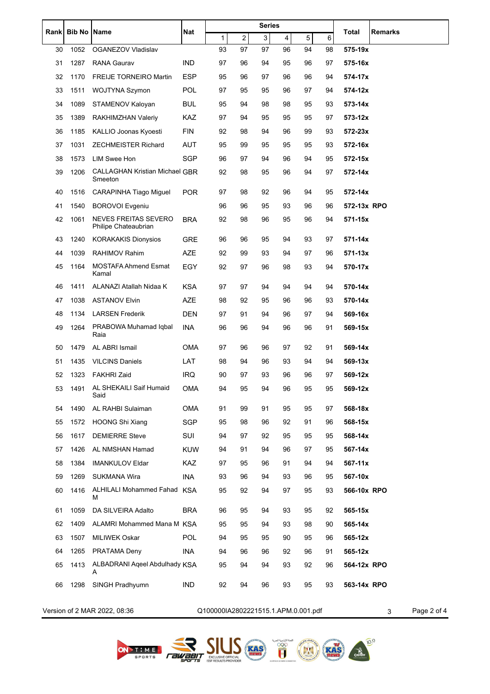| Rank | <b>Bib No</b> | Name                                                | Nat        | <b>Series</b>                       |    |                |    |    | Total<br>Remarks |                  |
|------|---------------|-----------------------------------------------------|------------|-------------------------------------|----|----------------|----|----|------------------|------------------|
|      |               |                                                     |            | 1                                   | 2  | $\overline{3}$ | 4  | 5  | 6                |                  |
| 30   | 1052          | OGANEZOV Vladislav                                  |            | 93                                  | 97 | 97             | 96 | 94 | 98               | 575-19x          |
| 31   | 1287          | <b>RANA Gaurav</b>                                  | <b>IND</b> | 97                                  | 96 | 94             | 95 | 96 | 97               | 575-16x          |
| 32   | 1170          | <b>FREIJE TORNEIRO Martin</b>                       | ESP        | 95                                  | 96 | 97             | 96 | 96 | 94               | 574-17x          |
| 33   | 1511          | WOJTYNA Szymon                                      | POL        | 97                                  | 95 | 95             | 96 | 97 | 94               | 574-12x          |
| 34   | 1089          | STAMENOV Kaloyan                                    | <b>BUL</b> | 95                                  | 94 | 98             | 98 | 95 | 93               | 573-14x          |
| 35   | 1389          | RAKHIMZHAN Valeriy                                  | KAZ        | 97                                  | 94 | 95             | 95 | 95 | 97               | 573-12x          |
| 36   | 1185          | KALLIO Joonas Kyoesti                               | FIN        | 92                                  | 98 | 94             | 96 | 99 | 93               | 572-23x          |
| 37   | 1031          | <b>ZECHMEISTER Richard</b>                          | AUT        | 95                                  | 99 | 95             | 95 | 95 | 93               | 572-16x          |
| 38   | 1573          | <b>LIM Swee Hon</b>                                 | <b>SGP</b> | 96                                  | 97 | 94             | 96 | 94 | 95               | 572-15x          |
| 39   | 1206          | <b>CALLAGHAN Kristian Michael GBR</b><br>Smeeton    |            | 92                                  | 98 | 95             | 96 | 94 | 97               | 572-14x          |
| 40   | 1516          | <b>CARAPINHA Tiago Miguel</b>                       | <b>POR</b> | 97                                  | 98 | 92             | 96 | 94 | 95               | 572-14x          |
| 41   | 1540          | <b>BOROVOI Evgeniu</b>                              |            | 96                                  | 96 | 95             | 93 | 96 | 96               | 572-13x RPO      |
| 42   | 1061          | <b>NEVES FREITAS SEVERO</b><br>Philipe Chateaubrian | BRA        | 92                                  | 98 | 96             | 95 | 96 | 94               | 571-15x          |
| 43   | 1240          | <b>KORAKAKIS Dionysios</b>                          | GRE        | 96                                  | 96 | 95             | 94 | 93 | 97               | 571-14x          |
| 44   | 1039          | <b>RAHIMOV Rahim</b>                                | <b>AZE</b> | 92                                  | 99 | 93             | 94 | 97 | 96               | 571-13x          |
| 45   | 1164          | <b>MOSTAFA Ahmend Esmat</b><br>Kamal                | <b>EGY</b> | 92                                  | 97 | 96             | 98 | 93 | 94               | 570-17x          |
| 46   | 1411          | ALANAZI Atallah Nidaa K                             | KSA        | 97                                  | 97 | 94             | 94 | 94 | 94               | 570-14x          |
| 47   | 1038          | <b>ASTANOV Elvin</b>                                | <b>AZE</b> | 98                                  | 92 | 95             | 96 | 96 | 93               | 570-14x          |
| 48   | 1134          | <b>LARSEN Frederik</b>                              | <b>DEN</b> | 97                                  | 91 | 94             | 96 | 97 | 94               | 569-16x          |
| 49   | 1264          | PRABOWA Muhamad Iqbal<br>Raia                       | INA        | 96                                  | 96 | 94             | 96 | 96 | 91               | 569-15x          |
| 50   | 1479          | AL ABRI Ismail                                      | <b>OMA</b> | 97                                  | 96 | 96             | 97 | 92 | 91               | 569-14x          |
| 51   | 1435          | <b>VILCINS Daniels</b>                              | LAT        | 98                                  | 94 | 96             | 93 | 94 | 94               | 569-13x          |
| 52   | 1323          | <b>FAKHRI Zaid</b>                                  | IRQ        | 90                                  | 97 | 93             | 96 | 96 | 97               | 569-12x          |
| 53   |               | 1491 AL SHEKAILI Saif Humaid<br>Said                | OMA        | 94                                  | 95 | 94             | 96 | 95 | 95               | 569-12x          |
| 54   | 1490          | AL RAHBI Sulaiman                                   | <b>OMA</b> | 91                                  | 99 | 91             | 95 | 95 | 97               | 568-18x          |
| 55   | 1572          | <b>HOONG Shi Xiang</b>                              | <b>SGP</b> | 95                                  | 98 | 96             | 92 | 91 | 96               | 568-15x          |
| 56   | 1617          | <b>DEMIERRE Steve</b>                               | SUI        | 94                                  | 97 | 92             | 95 | 95 | 95               | 568-14x          |
| 57   | 1426          | AL NMSHAN Hamad                                     | <b>KUW</b> | 94                                  | 91 | 94             | 96 | 97 | 95               | 567-14x          |
| 58   | 1384          | <b>IMANKULOV Eldar</b>                              | KAZ        | 97                                  | 95 | 96             | 91 | 94 | 94               | 567-11x          |
| 59   | 1269          | SUKMANA Wira                                        | INA        | 93                                  | 96 | 94             | 93 | 96 | 95               | 567-10x          |
| 60   | 1416          | ALHILALI Mohammed Fahad KSA<br>М                    |            | 95                                  | 92 | 94             | 97 | 95 | 93               | 566-10x RPO      |
| 61   | 1059          | DA SILVEIRA Adalto                                  | <b>BRA</b> | 96                                  | 95 | 94             | 93 | 95 | 92               | 565-15x          |
| 62   | 1409          | ALAMRI Mohammed Mana M KSA                          |            | 95                                  | 95 | 94             | 93 | 98 | 90               | 565-14x          |
| 63   | 1507          | <b>MILIWEK Oskar</b>                                | <b>POL</b> | 94                                  | 95 | 95             | 90 | 95 | 96               | 565-12x          |
| 64   | 1265          | PRATAMA Deny                                        | <b>INA</b> | 94                                  | 96 | 96             | 92 | 96 | 91               | 565-12x          |
| 65   | 1413          | ALBADRANI Ageel Abdulhady KSA<br>Α                  |            | 95                                  | 94 | 94             | 93 | 92 | 96               | 564-12x RPO      |
| 66   | 1298          | SINGH Pradhyumn                                     | <b>IND</b> | 92                                  | 94 | 96             | 93 | 95 | 93               | 563-14x RPO      |
|      |               | Version of 2 MAR 2022, 08:36                        |            | Q100000IA2802221515.1.APM.0.001.pdf |    |                |    |    |                  | Page 2 of 4<br>3 |



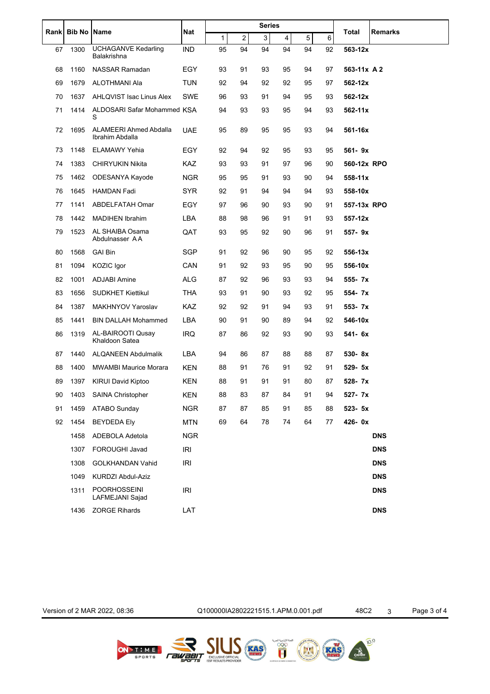|    | Rank Bib No Name |                                                  | Nat        | <b>Series</b> |                  |             |    |             |    |             |                |
|----|------------------|--------------------------------------------------|------------|---------------|------------------|-------------|----|-------------|----|-------------|----------------|
|    |                  |                                                  |            | 1             | $\boldsymbol{2}$ | $\mathsf 3$ | 4  | $\,$ 5 $\,$ | 6  | Total       | <b>Remarks</b> |
| 67 | 1300             | <b>UCHAGANVE Kedarling</b><br>Balakrishna        | <b>IND</b> | 95            | 94               | 94          | 94 | 94          | 92 | 563-12x     |                |
| 68 | 1160             | <b>NASSAR Ramadan</b>                            | EGY        | 93            | 91               | 93          | 95 | 94          | 97 | 563-11x A 2 |                |
| 69 | 1679             | ALOTHMANI Ala                                    | <b>TUN</b> | 92            | 94               | 92          | 92 | 95          | 97 | 562-12x     |                |
| 70 | 1637             | AHLQVIST Isac Linus Alex                         | <b>SWE</b> | 96            | 93               | 91          | 94 | 95          | 93 | 562-12x     |                |
| 71 | 1414             | ALDOSARI Safar Mohammed KSA<br>S                 |            | 94            | 93               | 93          | 95 | 94          | 93 | 562-11x     |                |
| 72 | 1695             | <b>ALAMEERI Ahmed Abdalla</b><br>Ibrahim Abdalla | UAE        | 95            | 89               | 95          | 95 | 93          | 94 | 561-16x     |                |
| 73 | 1148             | <b>ELAMAWY Yehia</b>                             | EGY        | 92            | 94               | 92          | 95 | 93          | 95 | 561-9x      |                |
| 74 | 1383             | <b>CHIRYUKIN Nikita</b>                          | <b>KAZ</b> | 93            | 93               | 91          | 97 | 96          | 90 | 560-12x RPO |                |
| 75 | 1462             | ODESANYA Kayode                                  | <b>NGR</b> | 95            | 95               | 91          | 93 | 90          | 94 | 558-11x     |                |
| 76 | 1645             | <b>HAMDAN Fadi</b>                               | <b>SYR</b> | 92            | 91               | 94          | 94 | 94          | 93 | 558-10x     |                |
| 77 | 1141             | ABDELFATAH Omar                                  | EGY        | 97            | 96               | 90          | 93 | 90          | 91 | 557-13x RPO |                |
| 78 | 1442             | <b>MADIHEN Ibrahim</b>                           | LBA        | 88            | 98               | 96          | 91 | 91          | 93 | 557-12x     |                |
| 79 | 1523             | AL SHAIBA Osama<br>Abdulnasser AA                | QAT        | 93            | 95               | 92          | 90 | 96          | 91 | 557-9x      |                |
| 80 | 1568             | <b>GAI Bin</b>                                   | <b>SGP</b> | 91            | 92               | 96          | 90 | 95          | 92 | 556-13x     |                |
| 81 | 1094             | KOZIC Igor                                       | CAN        | 91            | 92               | 93          | 95 | 90          | 95 | 556-10x     |                |
| 82 | 1001             | <b>ADJABI Amine</b>                              | <b>ALG</b> | 87            | 92               | 96          | 93 | 93          | 94 | 555-7x      |                |
| 83 | 1656             | <b>SUDKHET Kiettikul</b>                         | <b>THA</b> | 93            | 91               | 90          | 93 | 92          | 95 | 554-7x      |                |
| 84 | 1387             | MAKHNYOV Yaroslav                                | <b>KAZ</b> | 92            | 92               | 91          | 94 | 93          | 91 | 553- 7x     |                |
| 85 | 1441             | <b>BIN DALLAH Mohammed</b>                       | LBA        | 90            | 91               | 90          | 89 | 94          | 92 | 546-10x     |                |
| 86 | 1319             | AL-BAIROOTI Qusay<br>Khaldoon Satea              | IRQ        | 87            | 86               | 92          | 93 | 90          | 93 | 541- 6x     |                |
| 87 | 1440             | <b>ALQANEEN Abdulmalik</b>                       | LBA        | 94            | 86               | 87          | 88 | 88          | 87 | 530-8x      |                |
| 88 | 1400             | <b>MWAMBI Maurice Morara</b>                     | KEN        | 88            | 91               | 76          | 91 | 92          | 91 | 529- 5x     |                |
| 89 | 1397             | <b>KIRUI David Kiptoo</b>                        | KEN        | 88            | 91               | 91          | 91 | 80          | 87 | 528-7x      |                |
| 90 | 1403             | SAINA Christopher                                | KEN        | 88            | 83               | 87          | 84 | 91          | 94 | 527-7x      |                |
| 91 | 1459             | ATABO Sunday                                     | <b>NGR</b> | 87            | 87               | 85          | 91 | 85          | 88 | 523- 5x     |                |
| 92 | 1454             | <b>BEYDEDA Ely</b>                               | <b>MTN</b> | 69            | 64               | 78          | 74 | 64          | 77 | 426-0x      |                |
|    | 1458             | ADEBOLA Adetola                                  | <b>NGR</b> |               |                  |             |    |             |    |             | <b>DNS</b>     |
|    | 1307             | FOROUGHI Javad                                   | <b>IRI</b> |               |                  |             |    |             |    |             | <b>DNS</b>     |
|    | 1308             | GOLKHANDAN Vahid                                 | <b>IRI</b> |               |                  |             |    |             |    |             | <b>DNS</b>     |
|    | 1049             | KURDZI Abdul-Aziz                                |            |               |                  |             |    |             |    |             | <b>DNS</b>     |
|    | 1311             | <b>POORHOSSEINI</b><br>LAFMEJANI Sajad           | IRI        |               |                  |             |    |             |    |             | <b>DNS</b>     |
|    | 1436             | <b>ZORGE Rihards</b>                             | LAT        |               |                  |             |    |             |    |             | <b>DNS</b>     |

Version of 2 MAR 2022, 08:36 Q100000IA2802221515.1.APM.0.001.pdf 48C2 3 Page 3 of 4